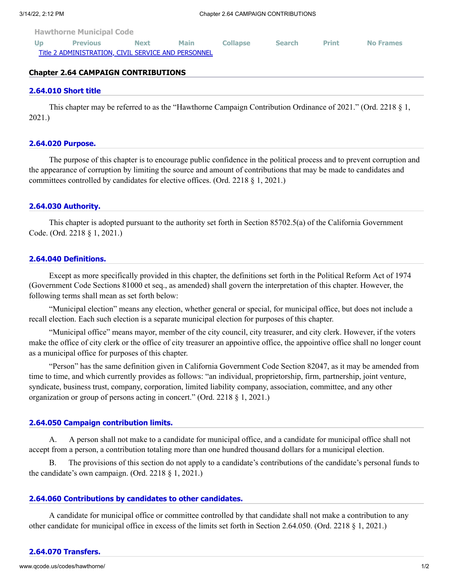**[Hawthorne Municipal Code](http://www.qcode.us/codes/hawthorne/view.php?&frames=on)**

| <b>Previous</b>                                     | <b>Next</b> | Main | <b>Collapse</b> | <b>Search</b> | <b>Print</b> | <b>No Frames</b> |
|-----------------------------------------------------|-------------|------|-----------------|---------------|--------------|------------------|
| Title 2 ADMINISTRATION, CIVIL SERVICE AND PERSONNEL |             |      |                 |               |              |                  |

# **Chapter 2.64 CAMPAIGN CONTRIBUTIONS**

#### **[2.64.010 Short title](http://www.qcode.us/codes/hawthorne/view.php?topic=2-2_64-2_64_010&frames=on)**

This chapter may be referred to as the "Hawthorne Campaign Contribution Ordinance of 2021." (Ord. 2218 § 1, 2021.)

#### **[2.64.020 Purpose.](http://www.qcode.us/codes/hawthorne/view.php?topic=2-2_64-2_64_020&frames=on)**

The purpose of this chapter is to encourage public confidence in the political process and to prevent corruption and the appearance of corruption by limiting the source and amount of contributions that may be made to candidates and committees controlled by candidates for elective offices. (Ord. 2218 § 1, 2021.)

### **[2.64.030 Authority.](http://www.qcode.us/codes/hawthorne/view.php?topic=2-2_64-2_64_030&frames=on)**

This chapter is adopted pursuant to the authority set forth in Section 85702.5(a) of the California Government Code. (Ord. 2218 § 1, 2021.)

### **[2.64.040 Definitions.](http://www.qcode.us/codes/hawthorne/view.php?topic=2-2_64-2_64_040&frames=on)**

Except as more specifically provided in this chapter, the definitions set forth in the Political Reform Act of 1974 (Government Code Sections 81000 et seq., as amended) shall govern the interpretation of this chapter. However, the following terms shall mean as set forth below:

"Municipal election" means any election, whether general or special, for municipal office, but does not include a recall election. Each such election is a separate municipal election for purposes of this chapter.

"Municipal office" means mayor, member of the city council, city treasurer, and city clerk. However, if the voters make the office of city clerk or the office of city treasurer an appointive office, the appointive office shall no longer count as a municipal office for purposes of this chapter.

"Person" has the same definition given in California Government Code Section 82047, as it may be amended from time to time, and which currently provides as follows: "an individual, proprietorship, firm, partnership, joint venture, syndicate, business trust, company, corporation, limited liability company, association, committee, and any other organization or group of persons acting in concert." (Ord. 2218 § 1, 2021.)

### **[2.64.050 Campaign contribution limits.](http://www.qcode.us/codes/hawthorne/view.php?topic=2-2_64-2_64_050&frames=on)**

A. A person shall not make to a candidate for municipal office, and a candidate for municipal office shall not accept from a person, a contribution totaling more than one hundred thousand dollars for a municipal election.

B. The provisions of this section do not apply to a candidate's contributions of the candidate's personal funds to the candidate's own campaign. (Ord. 2218  $\S$  1, 2021.)

### **[2.64.060 Contributions by candidates to other candidates.](http://www.qcode.us/codes/hawthorne/view.php?topic=2-2_64-2_64_060&frames=on)**

A candidate for municipal office or committee controlled by that candidate shall not make a contribution to any other candidate for municipal office in excess of the limits set forth in Section 2.64.050. (Ord. 2218 § 1, 2021.)